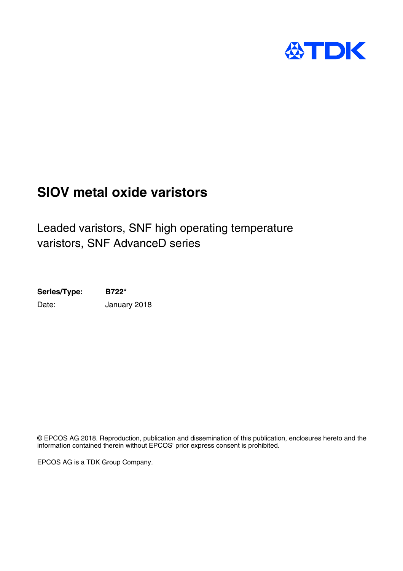

# **SIOV metal oxide varistors**

Leaded varistors, SNF high operating temperature varistors, SNF AdvanceD series

**Series/Type: B722\*** Date: January 2018

© EPCOS AG 2018. Reproduction, publication and dissemination of this publication, enclosures hereto and the information contained therein without EPCOS' prior express consent is prohibited.

EPCOS AG is a TDK Group Company.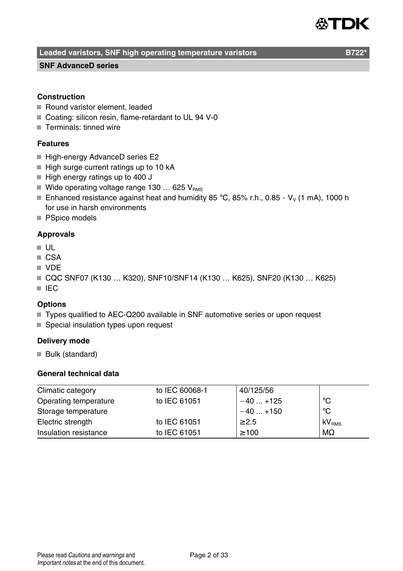# TDK

**Leaded varistors, SNF high operating temperature varistors Theorem B722** 

#### **SNF AdvanceD series**

#### **Construction**

- Round varistor element, leaded
- Coating: silicon resin, flame-retardant to UL 94 V-0
- Terminals: tinned wire

#### **Features**

- High-energy AdvanceD series E2
- $\blacksquare$  High surge current ratings up to 10 kA
- $\blacksquare$  High energy ratings up to 400 J
- Wide operating voltage range 130  $\dots$  625 V<sub>BMS</sub>
- Enhanced resistance against heat and humidity 85 °C, 85% r.h., 0.85  $\cdot$  V<sub>v</sub> (1 mA), 1000 h for use in harsh environments
- PSpice models

#### **Approvals**

- UL
- CSA
- VDE
- CQC SNF07 (K130 ... K320), SNF10/SNF14 (K130 ... K625), SNF20 (K130 ... K625)
- IEC

#### **Options**

- Types qualified to AEC-Q200 available in SNF automotive series or upon request
- Special insulation types upon request

#### **Delivery mode**

Bulk (standard)

#### **General technical data**

| Climatic category     | to IEC 60068-1 | 40/125/56  |                   |
|-----------------------|----------------|------------|-------------------|
| Operating temperature | to IEC 61051   | $-40+125$  | °C                |
| Storage temperature   |                | $-40+150$  | °C                |
| Electric strength     | to IEC 61051   | $\geq 2.5$ | kV <sub>RMS</sub> |
| Insulation resistance | to IEC 61051   | $\geq 100$ | $M\Omega$         |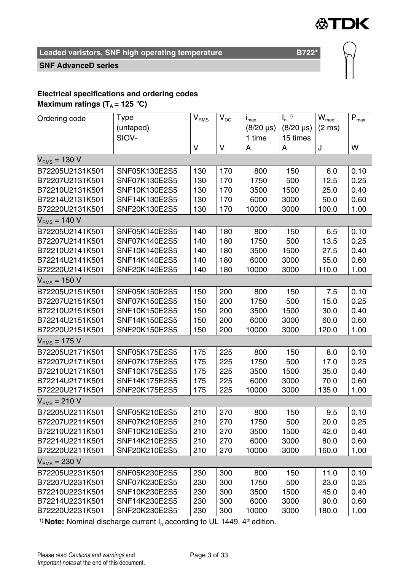

#### **SNF AdvanceD series**

## **Electrical specifications and ordering codes**

**Maximum ratings (** $T_A$  **= 125 °C)** 

|                   | Type          |                             | $V_{DC}$ | $i_{\rm max}$    | $\mathsf{I}_n$ <sup>1)</sup> | $\bar{W}_{\text{max}}$ | $\bar{\mathsf{P}}_{\mathsf{max}}$ |
|-------------------|---------------|-----------------------------|----------|------------------|------------------------------|------------------------|-----------------------------------|
| Ordering code     | (untaped)     | $\mathsf{V}_{\mathsf{RMS}}$ |          | $(8/20 \,\mu s)$ | $(8/20 \,\mu s)$             | $(2 \text{ ms})$       |                                   |
|                   | SIOV-         |                             |          |                  |                              |                        |                                   |
|                   |               |                             |          | 1 time           | 15 times                     |                        |                                   |
|                   |               | V                           | V        | А                | А                            | J                      | W                                 |
| $V_{RMS} = 130 V$ |               |                             |          |                  |                              |                        |                                   |
| B72205U2131K501   | SNF05K130E2S5 | 130                         | 170      | 800              | 150                          | 6.0                    | 0.10                              |
| B72207U2131K501   | SNF07K130E2S5 | 130                         | 170      | 1750             | 500                          | 12.5                   | 0.25                              |
| B72210U2131K501   | SNF10K130E2S5 | 130                         | 170      | 3500             | 1500                         | 25.0                   | 0.40                              |
| B72214U2131K501   | SNF14K130E2S5 | 130                         | 170      | 6000             | 3000                         | 50.0                   | 0.60                              |
| B72220U2131K501   | SNF20K130E2S5 | 130                         | 170      | 10000            | 3000                         | 100.0                  | 1.00                              |
| $VRMS = 140 V$    |               |                             |          |                  |                              |                        |                                   |
| B72205U2141K501   | SNF05K140E2S5 | 140                         | 180      | 800              | 150                          | 6.5                    | 0.10                              |
| B72207U2141K501   | SNF07K140E2S5 | 140                         | 180      | 1750             | 500                          | 13.5                   | 0.25                              |
| B72210U2141K501   | SNF10K140E2S5 | 140                         | 180      | 3500             | 1500                         | 27.5                   | 0.40                              |
| B72214U2141K501   | SNF14K140E2S5 | 140                         | 180      | 6000             | 3000                         | 55.0                   | 0.60                              |
| B72220U2141K501   | SNF20K140E2S5 | 140                         | 180      | 10000            | 3000                         | 110.0                  | 1.00                              |
| $VRMS = 150 V$    |               |                             |          |                  |                              |                        |                                   |
| B72205U2151K501   | SNF05K150E2S5 | 150                         | 200      | 800              | 150                          | 7.5                    | 0.10                              |
| B72207U2151K501   | SNF07K150E2S5 | 150                         | 200      | 1750             | 500                          | 15.0                   | 0.25                              |
| B72210U2151K501   | SNF10K150E2S5 | 150                         | 200      | 3500             | 1500                         | 30.0                   | 0.40                              |
| B72214U2151K501   | SNF14K150E2S5 | 150                         | 200      | 6000             | 3000                         | 60.0                   | 0.60                              |
| B72220U2151K501   | SNF20K150E2S5 | 150                         | 200      | 10000            | 3000                         | 120.0                  | 1.00                              |
| $VRMS = 175 V$    |               |                             |          |                  |                              |                        |                                   |
| B72205U2171K501   | SNF05K175E2S5 | 175                         | 225      | 800              | 150                          | 8.0                    | 0.10                              |
| B72207U2171K501   | SNF07K175E2S5 | 175                         | 225      | 1750             | 500                          | 17.0                   | 0.25                              |
| B72210U2171K501   | SNF10K175E2S5 | 175                         | 225      | 3500             | 1500                         | 35.0                   | 0.40                              |
| B72214U2171K501   | SNF14K175E2S5 | 175                         | 225      | 6000             | 3000                         | 70.0                   | 0.60                              |
| B72220U2171K501   | SNF20K175E2S5 | 175                         | 225      | 10000            | 3000                         | 135.0                  | 1.00                              |
| $VRMS = 210 V$    |               |                             |          |                  |                              |                        |                                   |
| B72205U2211K501   | SNF05K210E2S5 | 210                         | 270      | 800              | 150                          | 9.5                    | 0.10                              |
| B72207U2211K501   | SNF07K210E2S5 | 210                         | 270      | 1750             | 500                          | 20.0                   | 0.25                              |
| B72210U2211K501   | SNF10K210E2S5 | 210                         | 270      | 3500             | 1500                         | 42.0                   | 0.40                              |
| B72214U2211K501   | SNF14K210E2S5 | 210                         | 270      | 6000             | 3000                         | 80.0                   | 0.60                              |
| B72220U2211K501   | SNF20K210E2S5 | 210                         | 270      | 10000            | 3000                         | 160.0                  | 1.00                              |
| $VRMS = 230 V$    |               |                             |          |                  |                              |                        |                                   |
| B72205U2231K501   | SNF05K230E2S5 | 230                         | 300      | 800              | 150                          | 11.0                   | 0.10                              |
| B72207U2231K501   | SNF07K230E2S5 | 230                         | 300      | 1750             | 500                          | 23.0                   | 0.25                              |
| B72210U2231K501   | SNF10K230E2S5 | 230                         | 300      | 3500             | 1500                         | 45.0                   | 0.40                              |
| B72214U2231K501   | SNF14K230E2S5 | 230                         | 300      | 6000             | 3000                         | 90.0                   | 0.60                              |
| B72220U2231K501   | SNF20K230E2S5 | 230                         | 300      | 10000            | 3000                         | 180.0                  | 1.00                              |

<sup>1)</sup> Note: Nominal discharge current  $I_n$  according to UL 1449,  $4<sup>th</sup>$  edition.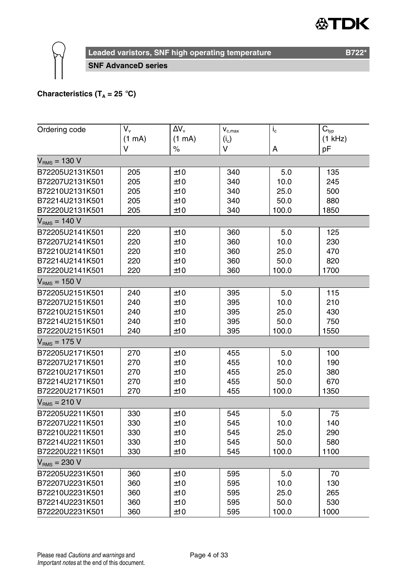#### "DK </del>



**Leaded varistors, SNF high operating temperature B722\*** B722\*

**SNF AdvanceD series**

#### **Characteristics (T<sub>A</sub> = 25 °C)**

| Ordering code     | $V_{\rm v}$ | $\Delta V_{\rm v}$ | $V_{c,max}$ | $i_{\rm c}$ | $\overline{C}_{typ}$ |  |  |  |  |  |
|-------------------|-------------|--------------------|-------------|-------------|----------------------|--|--|--|--|--|
|                   | (1 mA)      | (1 mA)             | $(i_c)$     |             | $(1$ kHz)            |  |  |  |  |  |
|                   | V           | $\%$               | v           | A           | pF                   |  |  |  |  |  |
| $V_{RMS} = 130 V$ |             |                    |             |             |                      |  |  |  |  |  |
| B72205U2131K501   | 205         | ±10                | 340         | 5.0         | 135                  |  |  |  |  |  |
| B72207U2131K501   | 205         | ±10                | 340         | 10.0        | 245                  |  |  |  |  |  |
| B72210U2131K501   | 205         | ±10                | 340         | 25.0        | 500                  |  |  |  |  |  |
| B72214U2131K501   | 205         | ±10                | 340         | 50.0        | 880                  |  |  |  |  |  |
| B72220U2131K501   | 205         | ±10                | 340         | 100.0       | 1850                 |  |  |  |  |  |
| $VRMS = 140 V$    |             |                    |             |             |                      |  |  |  |  |  |
| B72205U2141K501   | 220         | ±10                | 360         | 5.0         | 125                  |  |  |  |  |  |
| B72207U2141K501   | 220         | ±10                | 360         | 10.0        | 230                  |  |  |  |  |  |
| B72210U2141K501   | 220         | ±10                | 360         | 25.0        | 470                  |  |  |  |  |  |
| B72214U2141K501   | 220         | ±10                | 360         | 50.0        | 820                  |  |  |  |  |  |
| B72220U2141K501   | 220         | ±10                | 360         | 100.0       | 1700                 |  |  |  |  |  |
| $VRMS = 150 V$    |             |                    |             |             |                      |  |  |  |  |  |
| B72205U2151K501   | 240         | ±10                | 395         | 5.0         | 115                  |  |  |  |  |  |
| B72207U2151K501   | 240         | ±10                | 395         | 10.0        | 210                  |  |  |  |  |  |
| B72210U2151K501   | 240         | ±10                | 395         | 25.0        | 430                  |  |  |  |  |  |
| B72214U2151K501   | 240         | ±10                | 395         | 50.0        | 750                  |  |  |  |  |  |
| B72220U2151K501   | 240         | ±10                | 395         | 100.0       | 1550                 |  |  |  |  |  |
| $VRMS = 175 V$    |             |                    |             |             |                      |  |  |  |  |  |
| B72205U2171K501   | 270         | ±10                | 455         | 5.0         | 100                  |  |  |  |  |  |
| B72207U2171K501   | 270         | ±10                | 455         | 10.0        | 190                  |  |  |  |  |  |
| B72210U2171K501   | 270         | ±10                | 455         | 25.0        | 380                  |  |  |  |  |  |
| B72214U2171K501   | 270         | ±10                | 455         | 50.0        | 670                  |  |  |  |  |  |
| B72220U2171K501   | 270         | ±10                | 455         | 100.0       | 1350                 |  |  |  |  |  |
| $VRMS = 210 V$    |             |                    |             |             |                      |  |  |  |  |  |
| B72205U2211K501   | 330         | ±10                | 545         | 5.0         | 75                   |  |  |  |  |  |
| B72207U2211K501   | 330         | ±10                | 545         | 10.0        | 140                  |  |  |  |  |  |
| B72210U2211K501   | 330         | ±10                | 545         | 25.0        | 290                  |  |  |  |  |  |
| B72214U2211K501   | 330         | ±10                | 545         | 50.0        | 580                  |  |  |  |  |  |
| B72220U2211K501   | 330         | ±10                | 545         | 100.0       | 1100                 |  |  |  |  |  |
| $VRMS = 230 V$    |             |                    |             |             |                      |  |  |  |  |  |
| B72205U2231K501   | 360         | ±10                | 595         | 5.0         | 70                   |  |  |  |  |  |
| B72207U2231K501   | 360         | ±10                | 595         | 10.0        | 130                  |  |  |  |  |  |
| B72210U2231K501   | 360         | ±10                | 595         | 25.0        | 265                  |  |  |  |  |  |
| B72214U2231K501   | 360         | ±10                | 595         | 50.0        | 530                  |  |  |  |  |  |
| B72220U2231K501   | 360         | ±10                | 595         | 100.0       | 1000                 |  |  |  |  |  |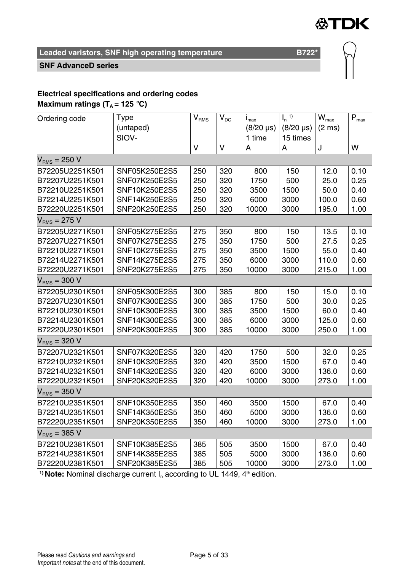

#### **SNF AdvanceD series**

# **Electrical specifications and ordering codes**

**Maximum ratings (** $T_A$  **= 125 °C)** 

| Ordering code     | Type          | $\mathsf{V}_{\mathsf{RMS}}$ | $V_{DC}$ | $I_{\text{max}}$ | $\overline{I_n}^{(1)}$ | $\overline{W}_{max}$ | $P_{max}$ |  |  |  |  |
|-------------------|---------------|-----------------------------|----------|------------------|------------------------|----------------------|-----------|--|--|--|--|
|                   | (untaped)     |                             |          | $(8/20 \,\mu s)$ | $(8/20 \,\mu s)$       | $(2 \text{ ms})$     |           |  |  |  |  |
|                   | SIOV-         |                             |          | 1 time           | 15 times               |                      |           |  |  |  |  |
|                   |               | V                           | V        | A                | A                      | J                    | W         |  |  |  |  |
| $V_{RMS} = 250 V$ |               |                             |          |                  |                        |                      |           |  |  |  |  |
| B72205U2251K501   | SNF05K250E2S5 | 250                         | 320      | 800              | 150                    | 12.0                 | 0.10      |  |  |  |  |
| B72207U2251K501   | SNF07K250E2S5 | 250                         | 320      | 1750             | 500                    | 25.0                 | 0.25      |  |  |  |  |
| B72210U2251K501   | SNF10K250E2S5 | 250                         | 320      | 3500             | 1500                   | 50.0                 | 0.40      |  |  |  |  |
| B72214U2251K501   | SNF14K250E2S5 | 250                         | 320      | 6000             | 3000                   | 100.0                | 0.60      |  |  |  |  |
| B72220U2251K501   | SNF20K250E2S5 | 250                         | 320      | 10000            | 3000                   | 195.0                | 1.00      |  |  |  |  |
| $VRMS = 275 V$    |               |                             |          |                  |                        |                      |           |  |  |  |  |
| B72205U2271K501   | SNF05K275E2S5 | 275                         | 350      | 800              | 150                    | 13.5                 | 0.10      |  |  |  |  |
| B72207U2271K501   | SNF07K275E2S5 | 275                         | 350      | 1750             | 500                    | 27.5                 | 0.25      |  |  |  |  |
| B72210U2271K501   | SNF10K275E2S5 | 275                         | 350      | 3500             | 1500                   | 55.0                 | 0.40      |  |  |  |  |
| B72214U2271K501   | SNF14K275E2S5 | 275                         | 350      | 6000             | 3000                   | 110.0                | 0.60      |  |  |  |  |
| B72220U2271K501   | SNF20K275E2S5 | 275                         | 350      | 10000            | 3000                   | 215.0                | 1.00      |  |  |  |  |
| $VRMS = 300 V$    |               |                             |          |                  |                        |                      |           |  |  |  |  |
| B72205U2301K501   | SNF05K300E2S5 | 300                         | 385      | 800              | 150                    | 15.0                 | 0.10      |  |  |  |  |
| B72207U2301K501   | SNF07K300E2S5 | 300                         | 385      | 1750             | 500                    | 30.0                 | 0.25      |  |  |  |  |
| B72210U2301K501   | SNF10K300E2S5 | 300                         | 385      | 3500             | 1500                   | 60.0                 | 0.40      |  |  |  |  |
| B72214U2301K501   | SNF14K300E2S5 | 300                         | 385      | 6000             | 3000                   | 125.0                | 0.60      |  |  |  |  |
| B72220U2301K501   | SNF20K300E2S5 | 300                         | 385      | 10000            | 3000                   | 250.0                | 1.00      |  |  |  |  |
| $VRMS = 320 V$    |               |                             |          |                  |                        |                      |           |  |  |  |  |
| B72207U2321K501   | SNF07K320E2S5 | 320                         | 420      | 1750             | 500                    | 32.0                 | 0.25      |  |  |  |  |
| B72210U2321K501   | SNF10K320E2S5 | 320                         | 420      | 3500             | 1500                   | 67.0                 | 0.40      |  |  |  |  |
| B72214U2321K501   | SNF14K320E2S5 | 320                         | 420      | 6000             | 3000                   | 136.0                | 0.60      |  |  |  |  |
| B72220U2321K501   | SNF20K320E2S5 | 320                         | 420      | 10000            | 3000                   | 273.0                | 1.00      |  |  |  |  |
| $VRMS = 350 V$    |               |                             |          |                  |                        |                      |           |  |  |  |  |
| B72210U2351K501   | SNF10K350E2S5 | 350                         | 460      | 3500             | 1500                   | 67.0                 | 0.40      |  |  |  |  |
| B72214U2351K501   | SNF14K350E2S5 | 350                         | 460      | 5000             | 3000                   | 136.0                | 0.60      |  |  |  |  |
| B72220U2351K501   | SNF20K350E2S5 | 350                         | 460      | 10000            | 3000                   | 273.0                | 1.00      |  |  |  |  |
| $VRMS = 385 V$    |               |                             |          |                  |                        |                      |           |  |  |  |  |
| B72210U2381K501   | SNF10K385E2S5 | 385                         | 505      | 3500             | 1500                   | 67.0                 | 0.40      |  |  |  |  |
| B72214U2381K501   | SNF14K385E2S5 | 385                         | 505      | 5000             | 3000                   | 136.0                | 0.60      |  |  |  |  |
| B72220U2381K501   | SNF20K385E2S5 | 385                         | 505      | 10000            | 3000                   | 273.0                | 1.00      |  |  |  |  |

<sup>1)</sup> Note: Nominal discharge current I<sub>n</sub> according to UL 1449, 4<sup>th</sup> edition.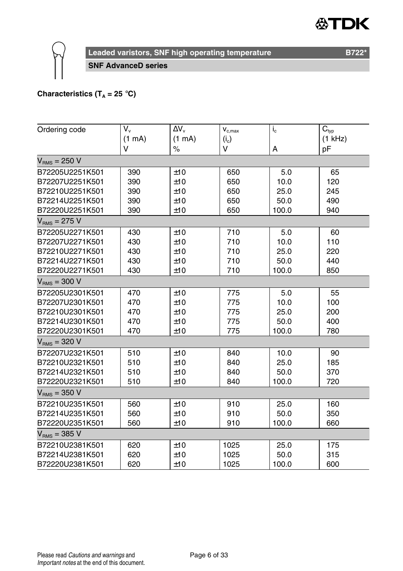#### "DK ≪)



**Leaded varistors, SNF high operating temperature B722\*** B722\*

**SNF AdvanceD series**

#### **Characteristics (T<sub>A</sub> = 25 °C)**

| Ordering code     | V.     | $\Delta V_v$ | $\mathbf{V}_{\text{c,max}}$ | $i_{\rm c}$ | $C_{typ}$ |
|-------------------|--------|--------------|-----------------------------|-------------|-----------|
|                   | (1 mA) | (1 mA)       | $(i_c)$                     |             | $(1$ kHz) |
|                   | v      | $\%$         | V                           | A           | pF        |
| $VRMS = 250 V$    |        |              |                             |             |           |
| B72205U2251K501   | 390    | ±10          | 650                         | 5.0         | 65        |
| B72207U2251K501   | 390    | ±10          | 650                         | 10.0        | 120       |
| B72210U2251K501   | 390    | ±10          | 650                         | 25.0        | 245       |
| B72214U2251K501   | 390    | ±10          | 650                         | 50.0        | 490       |
| B72220U2251K501   | 390    | ±10          | 650                         | 100.0       | 940       |
| $V_{RMS}$ = 275 V |        |              |                             |             |           |
| B72205U2271K501   | 430    | ±10          | 710                         | 5.0         | 60        |
| B72207U2271K501   | 430    | ±10          | 710                         | 10.0        | 110       |
| B72210U2271K501   | 430    | ±10          | 710                         | 25.0        | 220       |
| B72214U2271K501   | 430    | ±10          | 710                         | 50.0        | 440       |
| B72220U2271K501   | 430    | ±10          | 710                         | 100.0       | 850       |
| $VRMS = 300 V$    |        |              |                             |             |           |
| B72205U2301K501   | 470    | ±10          | 775                         | 5.0         | 55        |
| B72207U2301K501   | 470    | ±10          | 775                         | 10.0        | 100       |
| B72210U2301K501   | 470    | ±10          | 775                         | 25.0        | 200       |
| B72214U2301K501   | 470    | ±10          | 775                         | 50.0        | 400       |
| B72220U2301K501   | 470    | ±10          | 775                         | 100.0       | 780       |
| $V_{RMS}$ = 320 V |        |              |                             |             |           |
| B72207U2321K501   | 510    | ±10          | 840                         | 10.0        | 90        |
| B72210U2321K501   | 510    | ±10          | 840                         | 25.0        | 185       |
| B72214U2321K501   | 510    | ±10          | 840                         | 50.0        | 370       |
| B72220U2321K501   | 510    | ±10          | 840                         | 100.0       | 720       |
| $VRMS = 350 V$    |        |              |                             |             |           |
| B72210U2351K501   | 560    | ±10          | 910                         | 25.0        | 160       |
| B72214U2351K501   | 560    | ±10          | 910                         | 50.0        | 350       |
| B72220U2351K501   | 560    | ±10          | 910                         | 100.0       | 660       |
| $V_{RMS}$ = 385 V |        |              |                             |             |           |
| B72210U2381K501   | 620    | ±10          | 1025                        | 25.0        | 175       |
| B72214U2381K501   | 620    | ±10          | 1025                        | 50.0        | 315       |
| B72220U2381K501   | 620    | ±10          | 1025                        | 100.0       | 600       |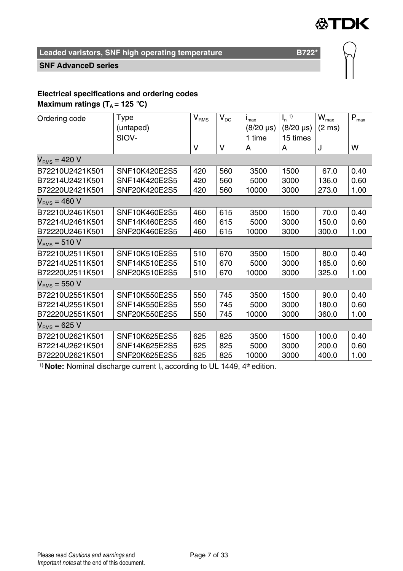

#### **SNF AdvanceD series**

#### **Electrical specifications and ordering codes Maximum ratings (** $T_A = 125$  **°C)**

Ordering code Type (untaped) SIOV- $\overline{V_{\rm RMS}}$ V  $V_{\text{DC}}$ V  $i_{\text{max}}$ (8/20 µs) 1 time A  $\mathsf{I}_n$ <sup>1)</sup> (8/20 µs) 15 times A  $\overline{\mathsf{W}_{\max}}$ (2 ms) J  $P_{\text{max}}$ W  $V<sub>RMS</sub> = 420 V$ B72210U2421K501 SNF10K420E2S5 420 560 3500 1500 67.0 0.40 B72214U2421K501 SNF14K420E2S5 420 560 5000 3000 136.0 0.60<br>B72220U2421K501 SNF20K420E2S5 420 560 10000 3000 273.0 1.00 B72220U2421K501 SNF20K420E2S5 420 560 10000 3000 273.0 1.00  $V_{BMS} = 460 V$ B72210U2461K501 SNF10K460E2S5 460 615 3500 1500 70.0 0.40 B72214U2461K501 SNF14K460E2S5 460 615 5000 3000 150.0 0.60 B72220U2461K501 SNF20K460E2S5 460 615 10000 3000 300.0 1.00  $V<sub>RMS</sub> = 510 V$ B72210U2511K501 SNF10K510E2S5 510 670 3500 1500 80.0 0.40 B72214U2511K501 SNF14K510E2S5 510 670 5000 3000 165.0 0.60 B72220U2511K501 SNF20K510E2S5 510 670 10000 3000 325.0 1.00  $V<sub>RMS</sub> = 550 V$ B72210U2551K501 SNF10K550E2S5 550 745 3500 1500 90.0 0.40 B72214U2551K501 SNF14K550E2S5 550 745 5000 3000 180.0 0.60 B72220U2551K501 SNF20K550E2S5 550 745 10000 3000 360.0 1.00  $V<sub>RMS</sub> = 625 V$ B72210U2621K501 SNF10K625E2S5 625 825 3500 1500 100.0 0.40 B72214U2621K501 SNF14K625E2S5 625 825 5000 3000 200.0 0.60 B72220U2621K501 SNF20K625E2S5 625 825 10000 3000 400.0 1.00

<sup>1)</sup> Note: Nominal discharge current I<sub>n</sub> according to UL 1449, 4<sup>th</sup> edition.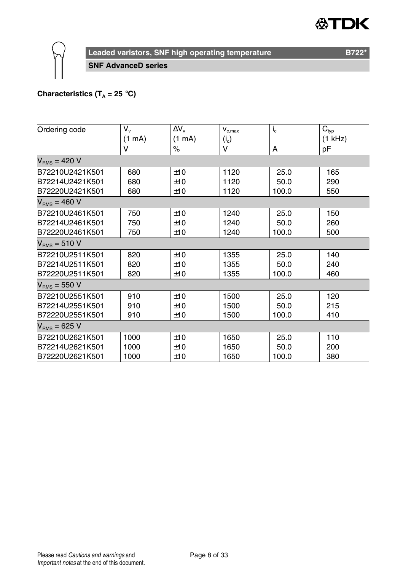#### "DK ≪)



**Leaded varistors, SNF high operating temperature B722\*** B722\*

**SNF AdvanceD series**

#### **Characteristics (T<sub>A</sub> = 25 °C)**

| Ordering code     | V.     | ΔV <sub>ν</sub>  | $V_{c,max}$ | $I_{c}$ | $C_{typ}$ |
|-------------------|--------|------------------|-------------|---------|-----------|
|                   | (1 mA) | $(1 \text{ mA})$ | $(i_c)$     |         | (1 kHz)   |
|                   | v      | $\%$             | v           | А       | pF        |
| $V_{BMS}$ = 420 V |        |                  |             |         |           |
| B72210U2421K501   | 680    | ±10              | 1120        | 25.0    | 165       |
| B72214U2421K501   | 680    | ±10              | 1120        | 50.0    | 290       |
| B72220U2421K501   | 680    | ±10              | 1120        | 100.0   | 550       |
| $V_{RMS}$ = 460 V |        |                  |             |         |           |
| B72210U2461K501   | 750    | ±10              | 1240        | 25.0    | 150       |
| B72214U2461K501   | 750    | ±10              | 1240        | 50.0    | 260       |
| B72220U2461K501   | 750    | ±10              | 1240        | 100.0   | 500       |
| $VRMS = 510 V$    |        |                  |             |         |           |
| B72210U2511K501   | 820    | ±10              | 1355        | 25.0    | 140       |
| B72214U2511K501   | 820    | ±10              | 1355        | 50.0    | 240       |
| B72220U2511K501   | 820    | ±10              | 1355        | 100.0   | 460       |
| $VRMS = 550 V$    |        |                  |             |         |           |
| B72210U2551K501   | 910    | ±10              | 1500        | 25.0    | 120       |
| B72214U2551K501   | 910    | ±10              | 1500        | 50.0    | 215       |
| B72220U2551K501   | 910    | ±10              | 1500        | 100.0   | 410       |
| $V_{BMS}$ = 625 V |        |                  |             |         |           |
| B72210U2621K501   | 1000   | ±10              | 1650        | 25.0    | 110       |
| B72214U2621K501   | 1000   | ±10              | 1650        | 50.0    | 200       |
| B72220U2621K501   | 1000   | ±10              | 1650        | 100.0   | 380       |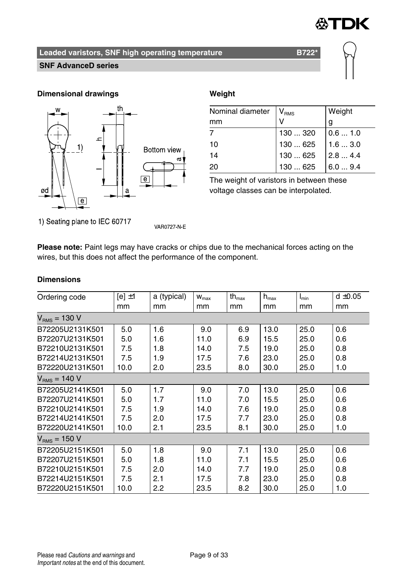

#### **SNF AdvanceD series**

#### **Dimensional drawings Weight**



| Nominal diameter   V <sub>RMS</sub> |                                                                                                                                                                            | Weight |
|-------------------------------------|----------------------------------------------------------------------------------------------------------------------------------------------------------------------------|--------|
| mm                                  |                                                                                                                                                                            | g      |
|                                     | $\begin{array}{ l l } \hline 130\;  \; 320 & 0.6\;  \; 1.0 \\ 130\;  \; 625 & 1.6\;  \; 3.0 \\ 130\;  \; 625 & 2.8\;  \; 4.4 \\ 130\;  \; 625 & 6.0\;  \; 9.4 \end{array}$ |        |
| 10                                  |                                                                                                                                                                            |        |
| 14                                  |                                                                                                                                                                            |        |
| 20                                  |                                                                                                                                                                            |        |

The weight of varistors in between these voltage classes can be interpolated.

1) Seating plane to IEC 60717

VAR0727-N-E

**Please note:** Paint legs may have cracks or chips due to the mechanical forces acting on the wires, but this does not affect the performance of the component.

#### **Dimensions**

| Ordering code     | [e] $\pm$ 1 | a (typical) | $W_{\text{max}}$ | th $_{\text{max}}$ | $h_{\text{max}}$ | I <sub>min</sub> | $d \pm 0.05$ |
|-------------------|-------------|-------------|------------------|--------------------|------------------|------------------|--------------|
|                   | mm          | mm          | mm               | mm                 | mm               | mm               | mm           |
| $V_{RMS}$ = 130 V |             |             |                  |                    |                  |                  |              |
| B72205U2131K501   | 5.0         | 1.6         | 9.0              | 6.9                | 13.0             | 25.0             | 0.6          |
| B72207U2131K501   | 5.0         | 1.6         | 11.0             | 6.9                | 15.5             | 25.0             | 0.6          |
| B72210U2131K501   | 7.5         | 1.8         | 14.0             | 7.5                | 19.0             | 25.0             | 0.8          |
| B72214U2131K501   | 7.5         | 1.9         | 17.5             | 7.6                | 23.0             | 25.0             | 0.8          |
| B72220U2131K501   | 10.0        | 2.0         | 23.5             | 8.0                | 30.0             | 25.0             | 1.0          |
| $V_{BMS}$ = 140 V |             |             |                  |                    |                  |                  |              |
| B72205U2141K501   | 5.0         | 1.7         | 9.0              | 7.0                | 13.0             | 25.0             | 0.6          |
| B72207U2141K501   | 5.0         | 1.7         | 11.0             | 7.0                | 15.5             | 25.0             | 0.6          |
| B72210U2141K501   | 7.5         | 1.9         | 14.0             | 7.6                | 19.0             | 25.0             | 0.8          |
| B72214U2141K501   | 7.5         | 2.0         | 17.5             | 7.7                | 23.0             | 25.0             | 0.8          |
| B72220U2141K501   | 10.0        | 2.1         | 23.5             | 8.1                | 30.0             | 25.0             | 1.0          |
| $V_{BMS}$ = 150 V |             |             |                  |                    |                  |                  |              |
| B72205U2151K501   | 5.0         | 1.8         | 9.0              | 7.1                | 13.0             | 25.0             | 0.6          |
| B72207U2151K501   | 5.0         | 1.8         | 11.0             | 7.1                | 15.5             | 25.0             | 0.6          |
| B72210U2151K501   | 7.5         | 2.0         | 14.0             | 7.7                | 19.0             | 25.0             | 0.8          |
| B72214U2151K501   | 7.5         | 2.1         | 17.5             | 7.8                | 23.0             | 25.0             | 0.8          |
| B72220U2151K501   | 10.0        | 2.2         | 23.5             | 8.2                | 30.0             | 25.0             | 1.0          |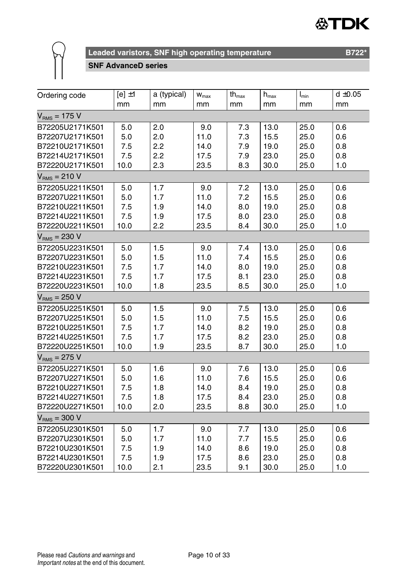



#### **SNF AdvanceD series**

| Ordering code   | $[e] \pm 1$ | a (typical) | $W_{\text{max}}$ | $\operatorname{\mathsf{th}}_{\max}$ | $\mathsf{h}_{\mathsf{max}}$ | $I_{min}$ | $d \pm 0.05$ |
|-----------------|-------------|-------------|------------------|-------------------------------------|-----------------------------|-----------|--------------|
|                 | mm          | mm          | mm               | mm                                  | mm                          | mm        | mm           |
| $VRMS = 175 V$  |             |             |                  |                                     |                             |           |              |
| B72205U2171K501 | 5.0         | 2.0         | 9.0              | 7.3                                 | 13.0                        | 25.0      | 0.6          |
| B72207U2171K501 | 5.0         | 2.0         | 11.0             | 7.3                                 | 15.5                        | 25.0      | 0.6          |
| B72210U2171K501 | 7.5         | 2.2         | 14.0             | 7.9                                 | 19.0                        | 25.0      | 0.8          |
| B72214U2171K501 | 7.5         | 2.2         | 17.5             | 7.9                                 | 23.0                        | 25.0      | 0.8          |
| B72220U2171K501 | 10.0        | 2.3         | 23.5             | 8.3                                 | 30.0                        | 25.0      | 1.0          |
| $VRMS = 210 V$  |             |             |                  |                                     |                             |           |              |
| B72205U2211K501 | 5.0         | 1.7         | 9.0              | 7.2                                 | 13.0                        | 25.0      | 0.6          |
| B72207U2211K501 | 5.0         | 1.7         | 11.0             | 7.2                                 | 15.5                        | 25.0      | 0.6          |
| B72210U2211K501 | 7.5         | 1.9         | 14.0             | 8.0                                 | 19.0                        | 25.0      | 0.8          |
| B72214U2211K501 | 7.5         | 1.9         | 17.5             | 8.0                                 | 23.0                        | 25.0      | 0.8          |
| B72220U2211K501 | 10.0        | 2.2         | 23.5             | 8.4                                 | 30.0                        | 25.0      | 1.0          |
| $VRMS = 230 V$  |             |             |                  |                                     |                             |           |              |
| B72205U2231K501 | 5.0         | 1.5         | 9.0              | 7.4                                 | 13.0                        | 25.0      | 0.6          |
| B72207U2231K501 | 5.0         | 1.5         | 11.0             | 7.4                                 | 15.5                        | 25.0      | 0.6          |
| B72210U2231K501 | 7.5         | 1.7         | 14.0             | 8.0                                 | 19.0                        | 25.0      | 0.8          |
| B72214U2231K501 | 7.5         | 1.7         | 17.5             | 8.1                                 | 23.0                        | 25.0      | 0.8          |
| B72220U2231K501 | 10.0        | 1.8         | 23.5             | 8.5                                 | 30.0                        | 25.0      | 1.0          |
| $VRMS = 250 V$  |             |             |                  |                                     |                             |           |              |
| B72205U2251K501 | 5.0         | 1.5         | 9.0              | 7.5                                 | 13.0                        | 25.0      | 0.6          |
| B72207U2251K501 | 5.0         | 1.5         | 11.0             | 7.5                                 | 15.5                        | 25.0      | 0.6          |
| B72210U2251K501 | 7.5         | 1.7         | 14.0             | 8.2                                 | 19.0                        | 25.0      | 0.8          |
| B72214U2251K501 | 7.5         | 1.7         | 17.5             | 8.2                                 | 23.0                        | 25.0      | 0.8          |
| B72220U2251K501 | 10.0        | 1.9         | 23.5             | 8.7                                 | 30.0                        | 25.0      | 1.0          |
| $VRMS = 275 V$  |             |             |                  |                                     |                             |           |              |
| B72205U2271K501 | 5.0         | 1.6         | 9.0              | 7.6                                 | 13.0                        | 25.0      | 0.6          |
| B72207U2271K501 | 5.0         | 1.6         | 11.0             | 7.6                                 | 15.5                        | 25.0      | 0.6          |
| B72210U2271K501 | 7.5         | 1.8         | 14.0             | 8.4                                 | 19.0                        | 25.0      | 0.8          |
| B72214U2271K501 | 7.5         | 1.8         | 17.5             | 8.4                                 | 23.0                        | 25.0      | 0.8          |
| B72220U2271K501 | 10.0        | 2.0         | 23.5             | 8.8                                 | 30.0                        | 25.0      | 1.0          |
| $VRMS = 300 V$  |             |             |                  |                                     |                             |           |              |
| B72205U2301K501 | 5.0         | 1.7         | 9.0              | 7.7                                 | 13.0                        | 25.0      | 0.6          |
| B72207U2301K501 | 5.0         | 1.7         | 11.0             | 7.7                                 | 15.5                        | 25.0      | 0.6          |
| B72210U2301K501 | 7.5         | 1.9         | 14.0             | 8.6                                 | 19.0                        | 25.0      | 0.8          |
| B72214U2301K501 | 7.5         | 1.9         | 17.5             | 8.6                                 | 23.0                        | 25.0      | 0.8          |
| B72220U2301K501 | 10.0        | 2.1         | 23.5             | 9.1                                 | 30.0                        | 25.0      | 1.0          |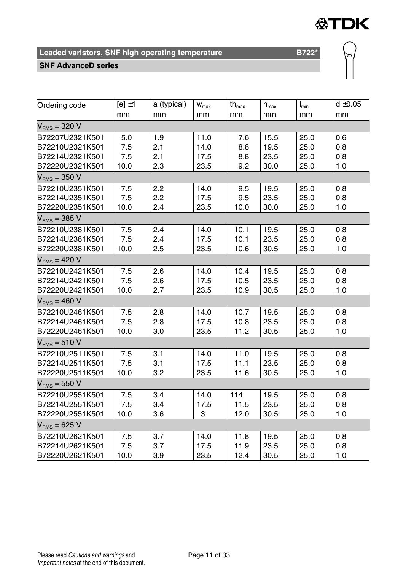# **公TDK**

 $\mathbb{Q}$ 

## **Leaded varistors, SNF high operating temperature B722\***

#### **SNF AdvanceD series**

| Ordering code     | $[e] \pm 1$ | a (typical) | $W_{max}$ | $th_{\text{max}}$ | $\mathsf{h}_{\mathsf{max}}$ | $I_{\min}$ | $d \pm 0.05$ |
|-------------------|-------------|-------------|-----------|-------------------|-----------------------------|------------|--------------|
|                   | mm          | mm          | mm        | mm                | mm                          | mm         | mm           |
| $VRMS = 320 V$    |             |             |           |                   |                             |            |              |
| B72207U2321K501   | 5.0         | 1.9         | 11.0      | 7.6               | 15.5                        | 25.0       | 0.6          |
| B72210U2321K501   | 7.5         | 2.1         | 14.0      | 8.8               | 19.5                        | 25.0       | 0.8          |
| B72214U2321K501   | 7.5         | 2.1         | 17.5      | 8.8               | 23.5                        | 25.0       | 0.8          |
| B72220U2321K501   | 10.0        | 2.3         | 23.5      | 9.2               | 30.0                        | 25.0       | 1.0          |
| $VRMS = 350 V$    |             |             |           |                   |                             |            |              |
| B72210U2351K501   | 7.5         | 2.2         | 14.0      | 9.5               | 19.5                        | 25.0       | 0.8          |
| B72214U2351K501   | 7.5         | 2.2         | 17.5      | 9.5               | 23.5                        | 25.0       | 0.8          |
| B72220U2351K501   | 10.0        | 2.4         | 23.5      | 10.0              | 30.0                        | 25.0       | 1.0          |
| $V_{BMS}$ = 385 V |             |             |           |                   |                             |            |              |
| B72210U2381K501   | 7.5         | 2.4         | 14.0      | 10.1              | 19.5                        | 25.0       | 0.8          |
| B72214U2381K501   | 7.5         | 2.4         | 17.5      | 10.1              | 23.5                        | 25.0       | 0.8          |
| B72220U2381K501   | 10.0        | 2.5         | 23.5      | 10.6              | 30.5                        | 25.0       | 1.0          |
| $VRMS = 420 V$    |             |             |           |                   |                             |            |              |
| B72210U2421K501   | 7.5         | 2.6         | 14.0      | 10.4              | 19.5                        | 25.0       | 0.8          |
| B72214U2421K501   | 7.5         | 2.6         | 17.5      | 10.5              | 23.5                        | 25.0       | 0.8          |
| B72220U2421K501   | 10.0        | 2.7         | 23.5      | 10.9              | 30.5                        | 25.0       | 1.0          |
| $VRMS = 460 V$    |             |             |           |                   |                             |            |              |
| B72210U2461K501   | 7.5         | 2.8         | 14.0      | 10.7              | 19.5                        | 25.0       | 0.8          |
| B72214U2461K501   | 7.5         | 2.8         | 17.5      | 10.8              | 23.5                        | 25.0       | 0.8          |
| B72220U2461K501   | 10.0        | 3.0         | 23.5      | 11.2              | 30.5                        | 25.0       | 1.0          |
| $VRMS = 510 V$    |             |             |           |                   |                             |            |              |
| B72210U2511K501   | 7.5         | 3.1         | 14.0      | 11.0              | 19.5                        | 25.0       | 0.8          |
| B72214U2511K501   | 7.5         | 3.1         | 17.5      | 11.1              | 23.5                        | 25.0       | 0.8          |
| B72220U2511K501   | 10.0        | 3.2         | 23.5      | 11.6              | 30.5                        | 25.0       | 1.0          |
| $VRMS = 550 V$    |             |             |           |                   |                             |            |              |
| B72210U2551K501   | 7.5         | 3.4         | 14.0      | 114               | 19.5                        | 25.0       | 0.8          |
| B72214U2551K501   | 7.5         | 3.4         | 17.5      | 11.5              | 23.5                        | 25.0       | 0.8          |
| B72220U2551K501   | 10.0        | 3.6         | 3         | 12.0              | 30.5                        | 25.0       | 1.0          |
| $VRMS = 625 V$    |             |             |           |                   |                             |            |              |
| B72210U2621K501   | 7.5         | 3.7         | 14.0      | 11.8              | 19.5                        | 25.0       | 0.8          |
| B72214U2621K501   | 7.5         | 3.7         | 17.5      | 11.9              | 23.5                        | 25.0       | 0.8          |
| B72220U2621K501   | 10.0        | 3.9         | 23.5      | 12.4              | 30.5                        | 25.0       | 1.0          |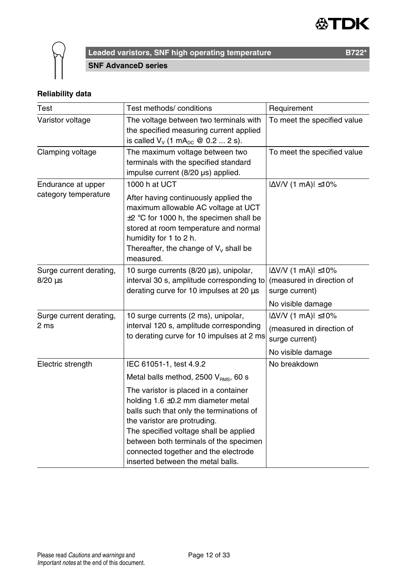



**Leaded varistors, SNF high operating temperature B722\*** B722\* **SNF AdvanceD series**

## **Reliability data**

| Test                                       | Test methods/ conditions                                                                                                                                                                                                                                                                                                                                                                                       | Requirement                                                                                           |
|--------------------------------------------|----------------------------------------------------------------------------------------------------------------------------------------------------------------------------------------------------------------------------------------------------------------------------------------------------------------------------------------------------------------------------------------------------------------|-------------------------------------------------------------------------------------------------------|
| Varistor voltage                           | The voltage between two terminals with<br>the specified measuring current applied<br>is called $V_v$ (1 mA <sub>pc</sub> @ 0.2  2 s).                                                                                                                                                                                                                                                                          | To meet the specified value                                                                           |
| Clamping voltage                           | The maximum voltage between two<br>terminals with the specified standard<br>impulse current (8/20 µs) applied.                                                                                                                                                                                                                                                                                                 | To meet the specified value                                                                           |
| Endurance at upper<br>category temperature | 1000 h at UCT<br>After having continuously applied the<br>maximum allowable AC voltage at UCT<br>$\pm 2$ °C for 1000 h, the specimen shall be<br>stored at room temperature and normal<br>humidity for 1 to 2 h.<br>Thereafter, the change of $V_v$ shall be<br>measured.                                                                                                                                      | $ \Delta V/V$ (1 mA) $ \leq 10\%$                                                                     |
| Surge current derating,<br>$8/20 \,\mu s$  | 10 surge currents (8/20 µs), unipolar,<br>interval 30 s, amplitude corresponding to<br>derating curve for 10 impulses at 20 µs                                                                                                                                                                                                                                                                                 | $ \Delta V/V$ (1 mA) $ \leq 10\%$<br>(measured in direction of<br>surge current)<br>No visible damage |
| Surge current derating,<br>2 ms            | 10 surge currents (2 ms), unipolar,<br>interval 120 s, amplitude corresponding<br>to derating curve for 10 impulses at 2 ms                                                                                                                                                                                                                                                                                    | $ \Delta$ V/V (1 mA) $ \leq$ 10%<br>(measured in direction of<br>surge current)<br>No visible damage  |
| Electric strength                          | IEC 61051-1, test 4.9.2<br>Metal balls method, $2500$ $V_{\text{RMS}}$ , 60 s<br>The varistor is placed in a container<br>holding $1.6 \pm 0.2$ mm diameter metal<br>balls such that only the terminations of<br>the varistor are protruding.<br>The specified voltage shall be applied<br>between both terminals of the specimen<br>connected together and the electrode<br>inserted between the metal balls. | No breakdown                                                                                          |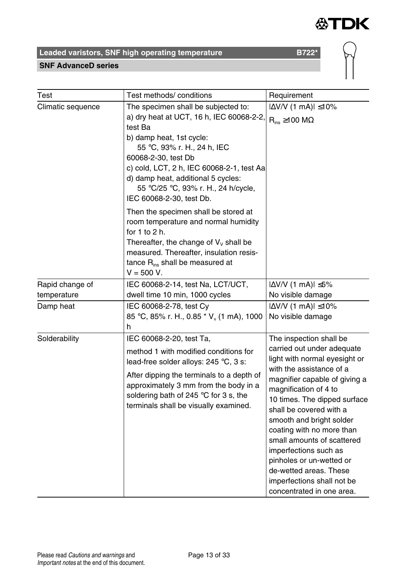

# Leaded varistors, SNF high operating temperature **B722\***<br>
SNF AdvanceD series

#### **SNF AdvanceD series**



| Test                                                                                                                                                                                                                                                                                                                                                                                                                                                                                                                                                | Test methods/ conditions                                                                                                                                                                                                                                                           | Requirement                                                                                                                                                                                                                                                                                                                                                                                                                                                              |
|-----------------------------------------------------------------------------------------------------------------------------------------------------------------------------------------------------------------------------------------------------------------------------------------------------------------------------------------------------------------------------------------------------------------------------------------------------------------------------------------------------------------------------------------------------|------------------------------------------------------------------------------------------------------------------------------------------------------------------------------------------------------------------------------------------------------------------------------------|--------------------------------------------------------------------------------------------------------------------------------------------------------------------------------------------------------------------------------------------------------------------------------------------------------------------------------------------------------------------------------------------------------------------------------------------------------------------------|
| The specimen shall be subjected to:<br>Climatic sequence<br>a) dry heat at UCT, 16 h, IEC 60068-2-2.<br>test Ba<br>b) damp heat, 1st cycle:<br>55 °C, 93% r. H., 24 h, IEC<br>60068-2-30, test Db<br>c) cold, LCT, 2 h, IEC 60068-2-1, test Aa<br>d) damp heat, additional 5 cycles:<br>55 °C/25 °C, 93% r. H., 24 h/cycle,<br>IEC 60068-2-30, test Db.<br>Then the specimen shall be stored at<br>room temperature and normal humidity<br>for $1$ to $2$ h.<br>Thereafter, the change of $V_v$ shall be<br>measured. Thereafter, insulation resis- |                                                                                                                                                                                                                                                                                    | $ \Delta$ V/V (1 mA) $ \leq$ 10%<br>$R_{ins} \ge 100 M\Omega$                                                                                                                                                                                                                                                                                                                                                                                                            |
|                                                                                                                                                                                                                                                                                                                                                                                                                                                                                                                                                     | tance $R_{ins}$ shall be measured at<br>$V = 500 V.$                                                                                                                                                                                                                               |                                                                                                                                                                                                                                                                                                                                                                                                                                                                          |
| Rapid change of<br>temperature<br>Damp heat                                                                                                                                                                                                                                                                                                                                                                                                                                                                                                         | IEC 60068-2-14, test Na, LCT/UCT,<br>dwell time 10 min, 1000 cycles<br>IEC 60068-2-78, test Cy<br>85 °C, 85% r. H., 0.85 * V <sub>v</sub> (1 mA), 1000                                                                                                                             | $ \Delta V/V$ (1 mA) $ \leq 5\%$<br>No visible damage<br>$ \Delta$ V/V (1 mA) $ \leq$ 10%<br>No visible damage                                                                                                                                                                                                                                                                                                                                                           |
|                                                                                                                                                                                                                                                                                                                                                                                                                                                                                                                                                     | h                                                                                                                                                                                                                                                                                  |                                                                                                                                                                                                                                                                                                                                                                                                                                                                          |
| Solderability                                                                                                                                                                                                                                                                                                                                                                                                                                                                                                                                       | IEC 60068-2-20, test Ta,<br>method 1 with modified conditions for<br>lead-free solder alloys: 245 °C, 3 s:<br>After dipping the terminals to a depth of<br>approximately 3 mm from the body in a<br>soldering bath of 245 °C for 3 s, the<br>terminals shall be visually examined. | The inspection shall be<br>carried out under adequate<br>light with normal eyesight or<br>with the assistance of a<br>magnifier capable of giving a<br>magnification of 4 to<br>10 times. The dipped surface<br>shall be covered with a<br>smooth and bright solder<br>coating with no more than<br>small amounts of scattered<br>imperfections such as<br>pinholes or un-wetted or<br>de-wetted areas. These<br>imperfections shall not be<br>concentrated in one area. |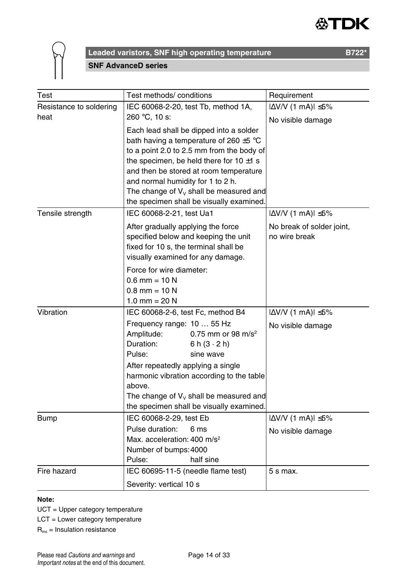



**Leaded varistors, SNF high operating temperature B722\*** B722\* **SNF AdvanceD series**

| Test                    | Test methods/ conditions                                                                                                                                                                                                                                                                                                                                         | Requirement                                           |
|-------------------------|------------------------------------------------------------------------------------------------------------------------------------------------------------------------------------------------------------------------------------------------------------------------------------------------------------------------------------------------------------------|-------------------------------------------------------|
| Resistance to soldering | IEC 60068-2-20, test Tb, method 1A,                                                                                                                                                                                                                                                                                                                              | $ \Delta$ V/V (1 mA) $ \leq$ 5%                       |
| heat                    | 260 °C, 10 s:                                                                                                                                                                                                                                                                                                                                                    | No visible damage                                     |
|                         | Each lead shall be dipped into a solder<br>bath having a temperature of 260 ±5 °C<br>to a point 2.0 to 2.5 mm from the body of<br>the specimen, be held there for $10 \pm 1$ s<br>and then be stored at room temperature<br>and normal humidity for 1 to 2 h.<br>The change of $V_v$ shall be measured and<br>the specimen shall be visually examined.           |                                                       |
| Tensile strength        | IEC 60068-2-21, test Ua1                                                                                                                                                                                                                                                                                                                                         | $ \Delta V/V$ (1 mA) $ \leq 5\%$                      |
|                         | After gradually applying the force<br>specified below and keeping the unit<br>fixed for 10 s, the terminal shall be<br>visually examined for any damage.                                                                                                                                                                                                         | No break of solder joint,<br>no wire break            |
|                         | Force for wire diameter:<br>$0.6$ mm = 10 N<br>$0.8$ mm = 10 N<br>1.0 mm = $20 N$                                                                                                                                                                                                                                                                                |                                                       |
| Vibration               | IEC 60068-2-6, test Fc, method B4<br>Frequency range: 10  55 Hz<br>Amplitude:<br>0.75 mm or 98 m/s <sup>2</sup><br>Duration:<br>6 h $(3 \cdot 2 h)$<br>Pulse:<br>sine wave<br>After repeatedly applying a single<br>harmonic vibration according to the table<br>above.<br>The change of $V_v$ shall be measured and<br>the specimen shall be visually examined. | $ \Delta V/V$ (1 mA) $ \leq 5\%$<br>No visible damage |
| <b>Bump</b>             | IEC 60068-2-29, test Eb<br>Pulse duration:<br>6 ms<br>Max. acceleration: $400 \text{ m/s}^2$<br>Number of bumps: 4000<br>Pulse:<br>half sine                                                                                                                                                                                                                     | $ \Delta V/V$ (1 mA) $ \leq 5\%$<br>No visible damage |
| Fire hazard             | IEC 60695-11-5 (needle flame test)<br>Severity: vertical 10 s                                                                                                                                                                                                                                                                                                    | 5 s max.                                              |

#### **Note:**

UCT = Upper category temperature

LCT = Lower category temperature

Rins = Insulation resistance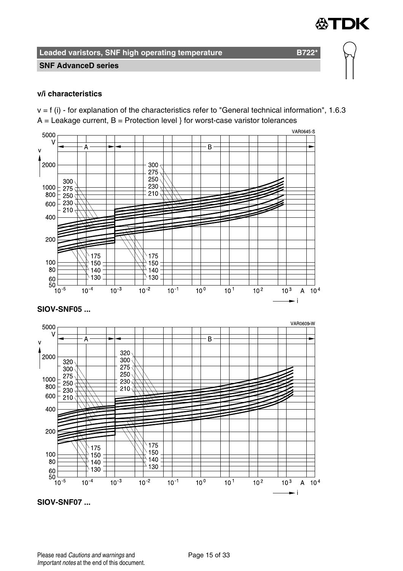∰TDK

**Leaded varistors, SNF high operating temperature B722\*** 

#### **SNF AdvanceD series**

#### **v/i characteristics**

 $v = f$  (i) - for explanation of the characteristics refer to "General technical information", 1.6.3  $A =$  Leakage current,  $B =$  Protection level } for worst-case varistor tolerances



**SIOV-SNF07 ...**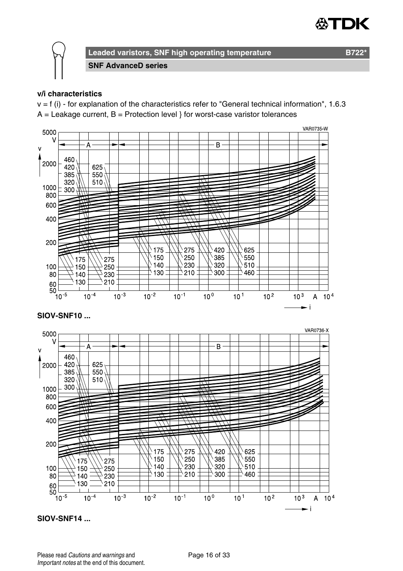



**SNF AdvanceD series**

#### **v/i characteristics**

 $v = f$  (i) - for explanation of the characteristics refer to "General technical information", 1.6.3  $A =$  Leakage current,  $B =$  Protection level } for worst-case varistor tolerances



**SIOV-SNF14 ...**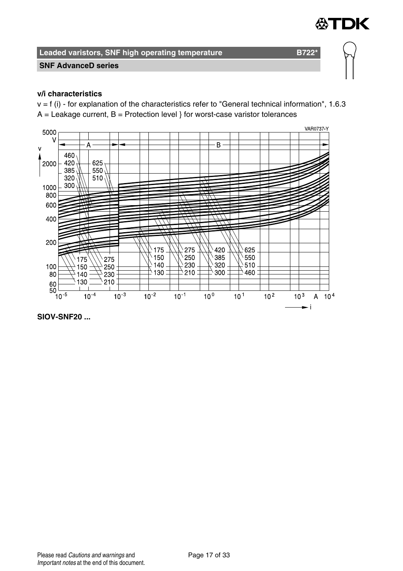

#### **SNF AdvanceD series**

#### **v/i characteristics**

 $v = f$  (i) - for explanation of the characteristics refer to "General technical information", 1.6.3  $A =$  Leakage current,  $B =$  Protection level } for worst-case varistor tolerances



**SIOV-SNF20 ...**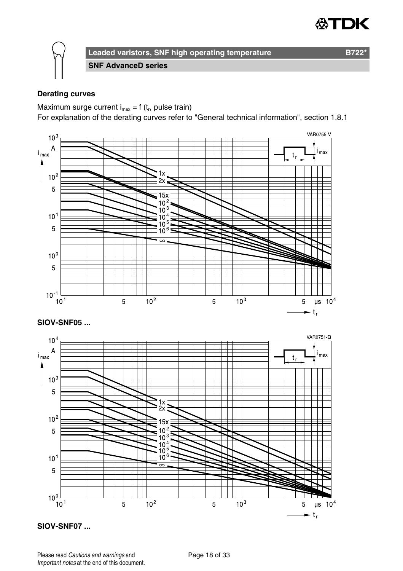



**SNF AdvanceD series**

#### **Derating curves**

Maximum surge current  $i_{max} = f(t_r)$ , pulse train)

For explanation of the derating curves refer to "General technical information", section 1.8.1



**SIOV-SNF07 ...**

Please read Cautions and warnings and <br>
Page 18 of 33 Important notes at the end of this document.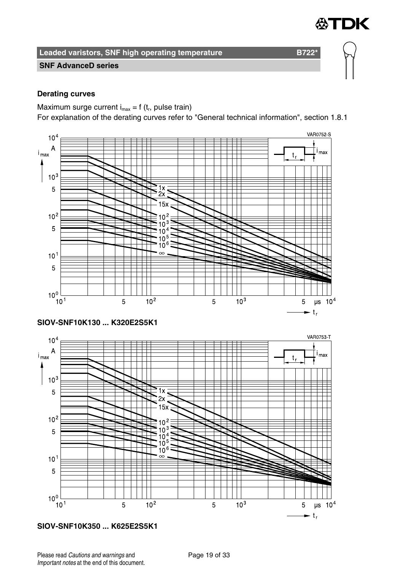

#### **SNF AdvanceD series**

#### **Derating curves**

Maximum surge current  $i_{max} = f(t_r)$ , pulse train)

For explanation of the derating curves refer to "General technical information", section 1.8.1





**SIOV-SNF10K350 ... K625E2S5K1**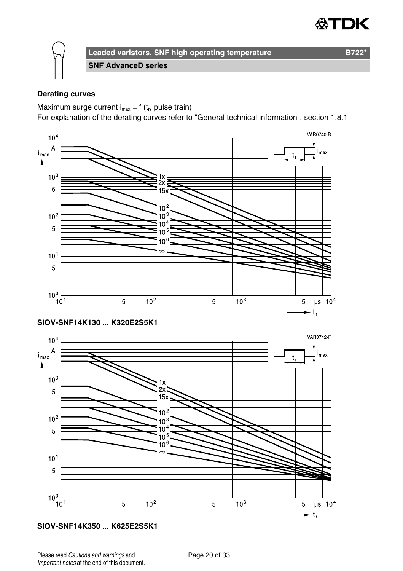



**SNF AdvanceD series**

#### **Derating curves**

Maximum surge current  $i_{max} = f(t_r)$ , pulse train)

For explanation of the derating curves refer to "General technical information", section 1.8.1



**SIOV-SNF14K350 ... K625E2S5K1**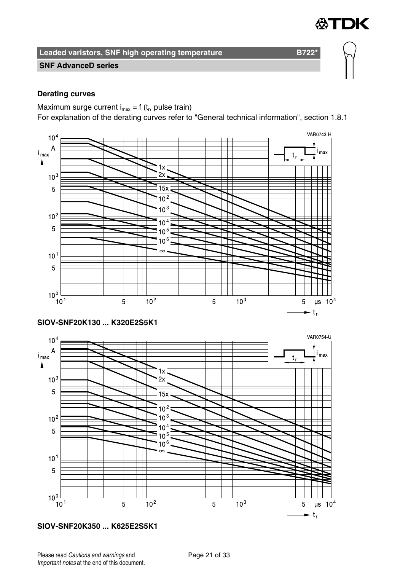

#### **SNF AdvanceD series**

#### **Derating curves**

Maximum surge current  $i_{max} = f(t_r)$ , pulse train)

For explanation of the derating curves refer to "General technical information", section 1.8.1



**SIOV-SNF20K350 ... K625E2S5K1**

 $\rightarrow$  t<sub>r</sub>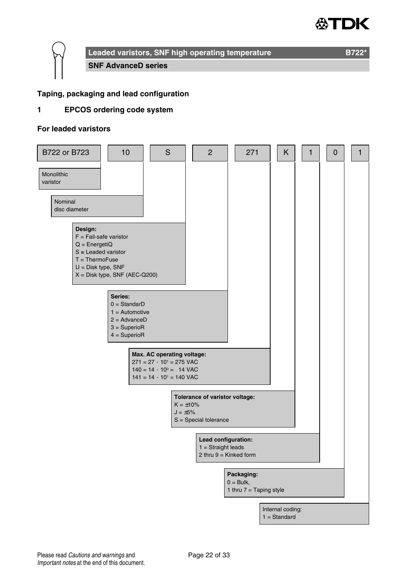# 'nК

**Leaded varistors, SNF high operating temperature B722\*** 

**SNF AdvanceD series**

#### **Taping, packaging and lead configuration**

#### **1 EPCOS ordering code system**

#### **For leaded varistors**

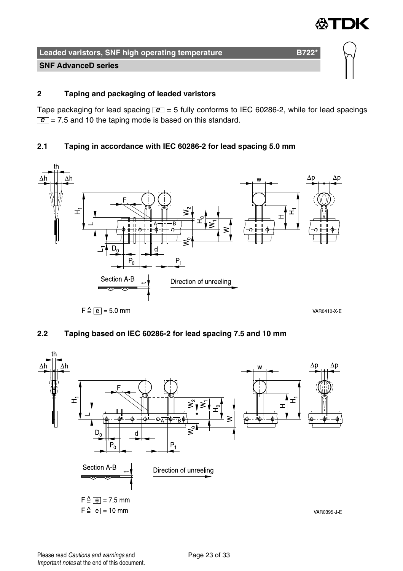

#### **SNF AdvanceD series**

#### **2 Taping and packaging of leaded varistors**

Tape packaging for lead spacing  $\boxed{e}$  = 5 fully conforms to IEC 60286-2, while for lead spacings  $\boxed{e}$  = 7.5 and 10 the taping mode is based on this standard.

#### **2.1 Taping in accordance with IEC 60286-2 for lead spacing 5.0 mm**



#### **2.2 Taping based on IEC 60286-2 for lead spacing 7.5 and 10 mm**

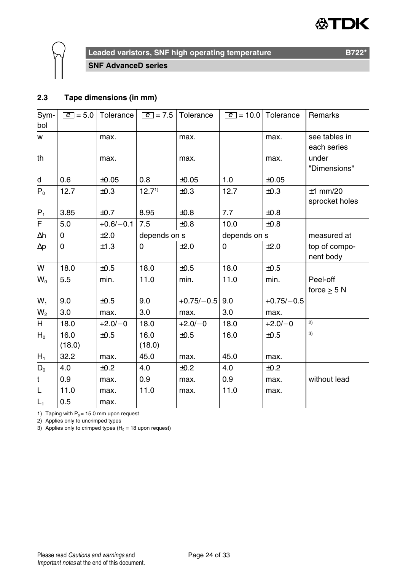#### DK Æ



**Leaded varistors, SNF high operating temperature B722** B722<sup>\*</sup>

**SNF AdvanceD series**

#### **2.3 Tape dimensions (in mm)**

| Sym-           | $ e  = 5.0$ | Tolerance   | $\boxed{e}$ = 7.5 | Tolerance    | $e = 10.0$   | Tolerance    | Remarks        |
|----------------|-------------|-------------|-------------------|--------------|--------------|--------------|----------------|
| bol            |             |             |                   |              |              |              |                |
| w              |             | max.        |                   | max.         |              | max.         | see tables in  |
|                |             |             |                   |              |              |              | each series    |
| th             |             | max.        |                   | max.         |              | max.         | under          |
|                |             |             |                   |              |              |              | "Dimensions"   |
| d              | 0.6         | $\pm 0.05$  | 0.8               | $\pm 0.05$   | 1.0          | $\pm 0.05$   |                |
| $P_0$          | 12.7        | $\pm 0.3$   | 12.7 <sup>1</sup> | ±0.3         | 12.7         | ±0.3         | $±1$ mm/20     |
|                |             |             |                   |              |              |              | sprocket holes |
| $P_1$          | 3.85        | ±0.7        | 8.95              | $\pm 0.8$    | 7.7          | $\pm 0.8$    |                |
| F              | 5.0         | $+0.6/-0.1$ | 7.5               | $\pm 0.8$    | 10.0         | ±0.8         |                |
| Δh             | 0           | ±2.0        | depends on s      |              | depends on s |              | measured at    |
| $\Delta p$     | 0           | ±1.3        | $\Omega$          | ±2.0         | 0            | ±2.0         | top of compo-  |
|                |             |             |                   |              |              |              | nent body      |
| W              | 18.0        | ±0.5        | 18.0              | ±0.5         | 18.0         | ±0.5         |                |
| $W_0$          | 5.5         | min.        | 11.0              | min.         | 11.0         | min.         | Peel-off       |
|                |             |             |                   |              |              |              | force $> 5 N$  |
| W,             | 9.0         | ±0.5        | 9.0               | $+0.75/-0.5$ | 9.0          | $+0.75/-0.5$ |                |
| W <sub>2</sub> | 3.0         | max.        | 3.0               | max.         | 3.0          | max.         |                |
| H              | 18.0        | $+2.0/-0$   | 18.0              | $+2.0/-0$    | 18.0         | $+2.0/-0$    | 2)             |
| $H_0$          | 16.0        | ±0.5        | 16.0              | ±0.5         | 16.0         | ±0.5         | 3)             |
|                | (18.0)      |             | (18.0)            |              |              |              |                |
| $H_1$          | 32.2        | max.        | 45.0              | max.         | 45.0         | max.         |                |
| $D_0$          | 4.0         | ±0.2        | 4.0               | ±0.2         | 4.0          | ±0.2         |                |
| t              | 0.9         | max.        | 0.9               | max.         | 0.9          | max.         | without lead   |
| L              | 11.0        | max.        | 11.0              | max.         | 11.0         | max.         |                |
| $L_1$          | 0.5         | max.        |                   |              |              |              |                |

1) Taping with  $P_0 = 15.0$  mm upon request

2) Applies only to uncrimped types

3) Applies only to crimped types ( $H_0 = 18$  upon request)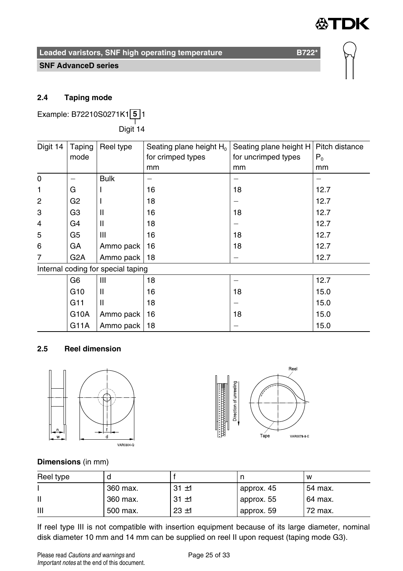

#### **SNF AdvanceD series**

#### **2.4 Taping mode**

Example: B72210S0271K1 **5** 1 ——<br>Digit 14

| Digit 14       | Taping           | Reel type                          | Seating plane height $H_0$ | Seating plane height H | Pitch distance |
|----------------|------------------|------------------------------------|----------------------------|------------------------|----------------|
|                | mode             |                                    | for crimped types          | for uncrimped types    | P <sub>0</sub> |
|                |                  |                                    | mm                         | mm                     | mm             |
| 0              |                  | <b>Bulk</b>                        |                            |                        |                |
| 1              | G                |                                    | 16                         | 18                     | 12.7           |
| 2              | G <sub>2</sub>   |                                    | 18                         |                        | 12.7           |
| 3              | G3               | $\mathsf{I}$                       | 16                         | 18                     | 12.7           |
| $\overline{4}$ | G4               | $\mathsf{I}$                       | 18                         |                        | 12.7           |
| 5              | G5               | Ш                                  | 16                         | 18                     | 12.7           |
| 6              | GА               | Ammo pack                          | 16                         | 18                     | 12.7           |
| 7              | G <sub>2</sub> A | Ammo pack                          | 18                         |                        | 12.7           |
|                |                  | Internal coding for special taping |                            |                        |                |
|                | G6               | Ш                                  | 18                         |                        | 12.7           |
|                | G <sub>10</sub>  | Ш                                  | 16                         | 18                     | 15.0           |
|                | G11              | $\mathsf{I}$                       | 18                         |                        | 15.0           |
|                | G10A             | Ammo pack                          | 16                         | 18                     | 15.0           |
|                | G11A             | Ammo pack                          | 18                         |                        | 15.0           |

#### **2.5 Reel dimension**





#### **Dimensions** (in mm)

| Reel type |          |          |            | W       |
|-----------|----------|----------|------------|---------|
|           | 360 max. | $31 + 1$ | approx. 45 | 54 max. |
|           | 360 max. | $31 + 1$ | approx. 55 | 64 max. |
| Ш         | 500 max. | $23 + 1$ | approx. 59 | 72 max. |

If reel type III is not compatible with insertion equipment because of its large diameter, nominal disk diameter 10 mm and 14 mm can be supplied on reel II upon request (taping mode G3).

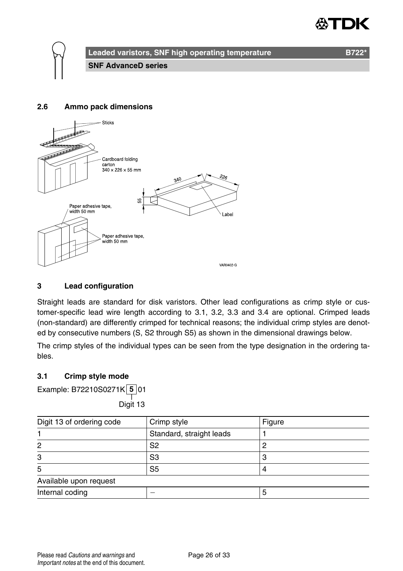

#### **2.6 Ammo pack dimensions**



#### **3 Lead configuration**

Straight leads are standard for disk varistors. Other lead configurations as crimp style or customer-specific lead wire length according to 3.1, 3.2, 3.3 and 3.4 are optional. Crimped leads (non-standard) are differently crimped for technical reasons; the individual crimp styles are denoted by consecutive numbers (S, S2 through S5) as shown in the dimensional drawings below.

The crimp styles of the individual types can be seen from the type designation in the ordering tables.

#### **3.1 Crimp style mode**

Example: B72210S0271K **5** 01

——<br>Digit 13

| Digit 13 of ordering code | Crimp style              | Figure |
|---------------------------|--------------------------|--------|
|                           | Standard, straight leads |        |
| 2                         | S2                       |        |
| 3                         | S <sub>3</sub>           |        |
| 5                         | S <sub>5</sub>           |        |
| Available upon request    |                          |        |
| Internal coding           |                          | Ð      |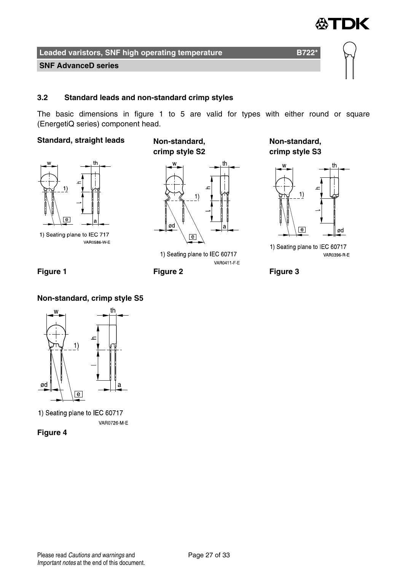

**SNF AdvanceD series**

#### **3.2 Standard leads and non-standard crimp styles**

The basic dimensions in figure 1 to 5 are valid for types with either round or square (EnergetiQ series) component head.

#### **Standard, straight leads Non-standard,**

1)

1) Seating plane to IEC 717 **VAR0586 W E** 

**crimp style S2**



1) Seating plane to IEC 60717 VAR0411 F E

**Non-standard, crimp style S3**



1) Seating plane to IEC 60717 VAR0396 R E



#### **Non-standard, crimp style S5**



1) Seating plane to IEC 60717 VAR0726 M-E

**Figure 4**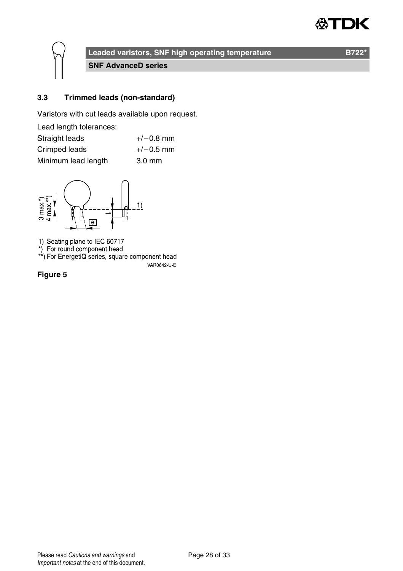

**Leaded varistors, SNF high operating temperature B722** B722<sup>\*</sup>

**SNF AdvanceD series**

#### **3.3 Trimmed leads (non-standard)**

Varistors with cut leads available upon request.

| Lead length tolerances: |                  |
|-------------------------|------------------|
| Straight leads          | $+/-0.8$ mm      |
| Crimped leads           | $+/-0.5$ mm      |
| Minimum lead length     | $3.0 \text{ mm}$ |



1) Seating plane to IEC 60717<br>\*) For round component head<br>\*\*) For EnergetiQ series, square component head

VAR0642-U-E

**Figure 5**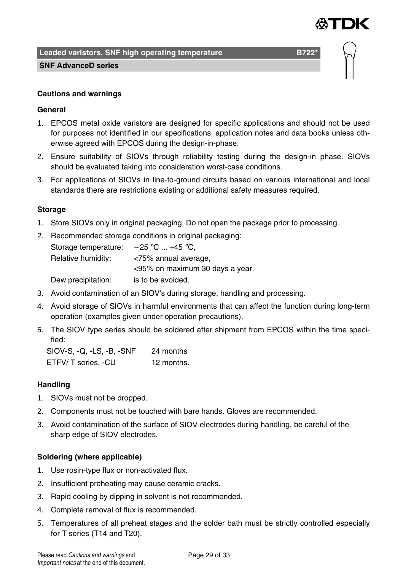

**Leaded varistors, SNF high operating temperature B7221 B722<sup>\*</sup>** 

#### **SNF AdvanceD series**

#### **Cautions and warnings**

#### **General**

- 1. EPCOS metal oxide varistors are designed for specific applications and should not be used for purposes not identified in our specifications, application notes and data books unless otherwise agreed with EPCOS during the design-in-phase.
- 2. Ensure suitability of SIOVs through reliability testing during the design-in phase. SIOVs should be evaluated taking into consideration worst-case conditions.
- 3. For applications of SIOVs in line-to-ground circuits based on various international and local standards there are restrictions existing or additional safety measures required.

#### **Storage**

- 1. Store SIOVs only in original packaging. Do not open the package prior to processing.
- 2. Recommended storage conditions in original packaging: Storage temperature:  $-25$  °C ... +45 °C, Relative humidity: <75% annual average, <95% on maximum 30 days a year. Dew precipitation: is to be avoided.
- 3. Avoid contamination of an SIOV's during storage, handling and processing.
- 4. Avoid storage of SIOVs in harmful environments that can affect the function during long-term operation (examples given under operation precautions).
- 5. The SIOV type series should be soldered after shipment from EPCOS within the time specified:

SIOV-S, -Q, -LS, -B, -SNF 24 months ETFV/ T series, -CU 12 months.

#### **Handling**

- 1. SIOVs must not be dropped.
- 2. Components must not be touched with bare hands. Gloves are recommended.
- 3. Avoid contamination of the surface of SIOV electrodes during handling, be careful of the sharp edge of SIOV electrodes.

#### **Soldering (where applicable)**

- 1. Use rosin-type flux or non-activated flux.
- 2. Insufficient preheating may cause ceramic cracks.
- 3. Rapid cooling by dipping in solvent is not recommended.
- 4. Complete removal of flux is recommended.
- 5. Temperatures of all preheat stages and the solder bath must be strictly controlled especially for T series (T14 and T20).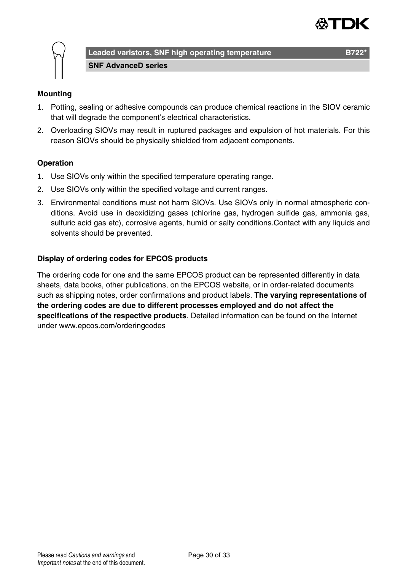



**Leaded varistors, SNF high operating temperature CHA CHA B722 SNF AdvanceD series**

#### **Mounting**

- 1. Potting, sealing or adhesive compounds can produce chemical reactions in the SIOV ceramic that will degrade the component's electrical characteristics.
- 2. Overloading SIOVs may result in ruptured packages and expulsion of hot materials. For this reason SIOVs should be physically shielded from adjacent components.

#### **Operation**

- 1. Use SIOVs only within the specified temperature operating range.
- 2. Use SIOVs only within the specified voltage and current ranges.
- 3. Environmental conditions must not harm SIOVs. Use SIOVs only in normal atmospheric conditions. Avoid use in deoxidizing gases (chlorine gas, hydrogen sulfide gas, ammonia gas, sulfuric acid gas etc), corrosive agents, humid or salty conditions.Contact with any liquids and solvents should be prevented.

#### **Display of ordering codes for EPCOS products**

The ordering code for one and the same EPCOS product can be represented differently in data sheets, data books, other publications, on the EPCOS website, or in order-related documents such as shipping notes, order confirmations and product labels. **The varying representations of the ordering codes are due to different processes employed and do not affect the specifications of the respective products**. Detailed information can be found on the Internet under www.epcos.com/orderingcodes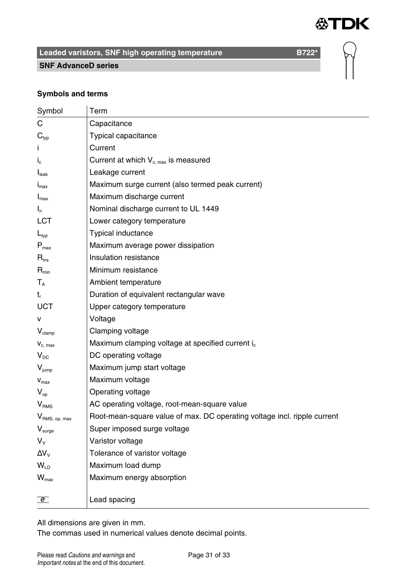

#### **SNF AdvanceD series**

#### **Symbols and terms**

| Symbol                    | Term                                                                     |
|---------------------------|--------------------------------------------------------------------------|
| С                         | Capacitance                                                              |
| $\mathbf{C}_{\text{typ}}$ | Typical capacitance                                                      |
| Ť                         | Current                                                                  |
| $i_{\rm c}$               | Current at which $V_{c, max}$ is measured                                |
| I <sub>leak</sub>         | Leakage current                                                          |
| $I_{\text{max}}$          | Maximum surge current (also termed peak current)                         |
| $I_{\text{max}}$          | Maximum discharge current                                                |
| $I_n$                     | Nominal discharge current to UL 1449                                     |
| LCT                       | Lower category temperature                                               |
| $L_{\text{typ}}$          | Typical inductance                                                       |
| $P_{max}$                 | Maximum average power dissipation                                        |
| $R_{ins}$                 | Insulation resistance                                                    |
| $R_{\text{min}}$          | Minimum resistance                                                       |
| $\mathsf{T}_\mathsf{A}$   | Ambient temperature                                                      |
| $t_{r}$                   | Duration of equivalent rectangular wave                                  |
| UCT                       | Upper category temperature                                               |
| v                         | Voltage                                                                  |
| $V_{\text{clamp}}$        | Clamping voltage                                                         |
| $V_{c. max}$              | Maximum clamping voltage at specified current i <sub>c</sub>             |
| $V_{DC}$                  | DC operating voltage                                                     |
| $V_{jump}$                | Maximum jump start voltage                                               |
| $V_{\text{max}}$          | Maximum voltage                                                          |
| $V_{op}$                  | Operating voltage                                                        |
| V <sub>RMS</sub>          | AC operating voltage, root-mean-square value                             |
| $V_{RMS, op, max}$        | Root-mean-square value of max. DC operating voltage incl. ripple current |
| $V_{\text{surge}}$        | Super imposed surge voltage                                              |
| $V_{\rm v}$               | Varistor voltage                                                         |
| $\Delta V_{V}$            | Tolerance of varistor voltage                                            |
| W <sub>LD</sub>           | Maximum load dump                                                        |
| $W_{\text{max}}$          | Maximum energy absorption                                                |
|                           |                                                                          |
| $\overline{e}$            | Lead spacing                                                             |

All dimensions are given in mm.

The commas used in numerical values denote decimal points.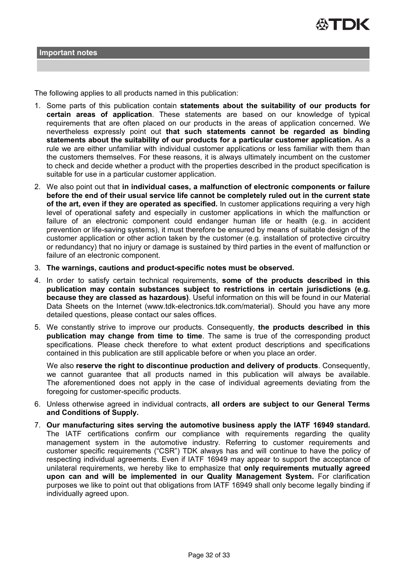

The following applies to all products named in this publication:

- 1. Some parts of this publication contain **statements about the suitability of our products for certain areas of application**. These statements are based on our knowledge of typical requirements that are often placed on our products in the areas of application concerned. We nevertheless expressly point out **that such statements cannot be regarded as binding statements about the suitability of our products for a particular customer application.** As a rule we are either unfamiliar with individual customer applications or less familiar with them than the customers themselves. For these reasons, it is always ultimately incumbent on the customer to check and decide whether a product with the properties described in the product specification is suitable for use in a particular customer application.
- 2. We also point out that **in individual cases, a malfunction of electronic components or failure before the end of their usual service life cannot be completely ruled out in the current state of the art, even if they are operated as specified.** In customer applications requiring a very high level of operational safety and especially in customer applications in which the malfunction or failure of an electronic component could endanger human life or health (e.g. in accident prevention or life-saving systems), it must therefore be ensured by means of suitable design of the customer application or other action taken by the customer (e.g. installation of protective circuitry or redundancy) that no injury or damage is sustained by third parties in the event of malfunction or failure of an electronic component.
- 3. **The warnings, cautions and product-specific notes must be observed.**
- 4. In order to satisfy certain technical requirements, **some of the products described in this publication may contain substances subject to restrictions in certain jurisdictions (e.g. because they are classed as hazardous)**. Useful information on this will be found in our Material Data Sheets on the Internet (www.tdk-electronics.tdk.com/material). Should you have any more detailed questions, please contact our sales offices.
- 5. We constantly strive to improve our products. Consequently, **the products described in this publication may change from time to time**. The same is true of the corresponding product specifications. Please check therefore to what extent product descriptions and specifications contained in this publication are still applicable before or when you place an order.

We also **reserve the right to discontinue production and delivery of products**. Consequently, we cannot guarantee that all products named in this publication will always be available. The aforementioned does not apply in the case of individual agreements deviating from the foregoing for customer-specific products.

- 6. Unless otherwise agreed in individual contracts, **all orders are subject to our General Terms and Conditions of Supply.**
- 7. **Our manufacturing sites serving the automotive business apply the IATF 16949 standard.** The IATF certifications confirm our compliance with requirements regarding the quality management system in the automotive industry. Referring to customer requirements and customer specific requirements ("CSR") TDK always has and will continue to have the policy of respecting individual agreements. Even if IATF 16949 may appear to support the acceptance of unilateral requirements, we hereby like to emphasize that **only requirements mutually agreed upon can and will be implemented in our Quality Management System.** For clarification purposes we like to point out that obligations from IATF 16949 shall only become legally binding if individually agreed upon.